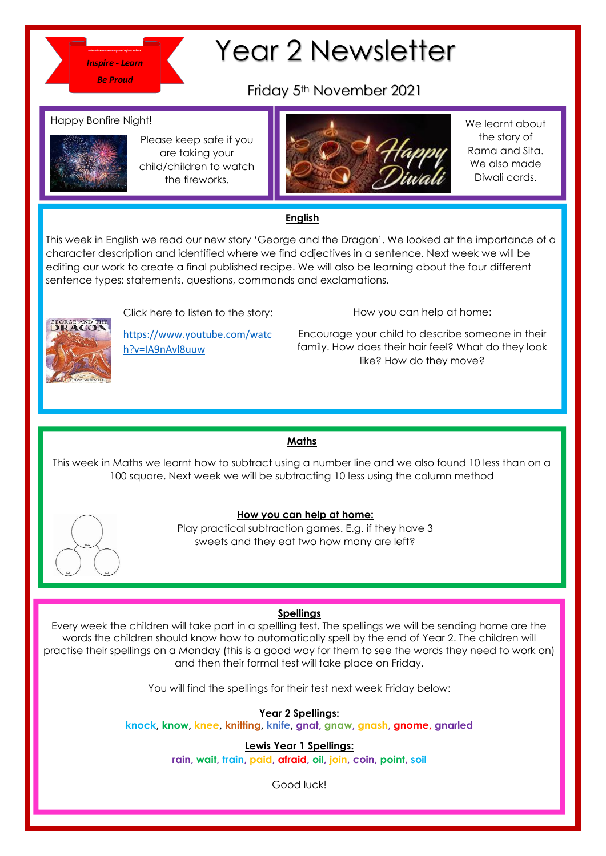

# Year 2 Newsletter

Friday 5th November 2021

#### Happy Bonfire Night!



Please keep safe if you are taking your child/children to watch the fireworks.



We learnt about the story of Rama and Sita. We also made Diwali cards.

## **English**

This week in English we read our new story 'George and the Dragon'. We looked at the importance of a character description and identified where we find adjectives in a sentence. Next week we will be editing our work to create a final published recipe. We will also be learning about the four different caning our work to create a miar popisition recipe. We will diso be tour<br>sentence types: statements, questions, commands and exclamations.



Click here to listen to the story:

[https://www.youtube.com/watc](https://www.youtube.com/watch?v=IA9nAvl8uuw) [h?v=IA9nAvl8uuw](https://www.youtube.com/watch?v=IA9nAvl8uuw)

### How you can help at home:

Encourage your child to describe someone in their family. How does their hair feel? What do they look like? How do they move?

### **Maths**

This week in Maths we learnt how to subtract using a number line and we also found 10 less than on a 100 square. Next week we will be subtracting 10 less using the column method



#### **How you can help at home:**

Play practical subtraction games. E.g. if they have 3 sweets and they eat two how many are left?

### **Spellings**

Every week the children will take part in a spellling test. The spellings we will be sending home are the words the children should know how to automatically spell by the end of Year 2. The children will practise their spellings on a Monday (this is a good way for them to see the words they need to work on) and then their formal test will take place on Friday.

You will find the spellings for their test next week Friday below:

**Year 2 Spellings:** 

**knock, know, knee, knitting, knife, gnat, gnaw, gnash, gnome, gnarled**

**Lewis Year 1 Spellings:** 

**rain, wait, train, paid, afraid, oil, join, coin, point, soil**

Good luck!